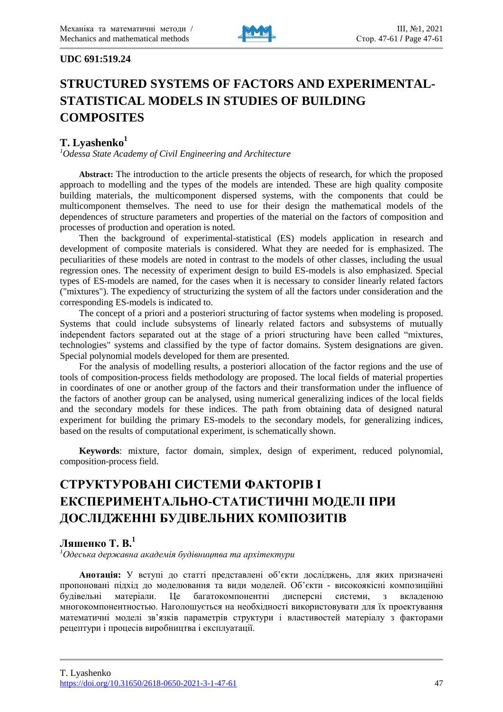

#### **UDC 691:519.24**

# **STRUCTURED SYSTEMS OF FACTORS AND EXPERIMENTAL-STATISTICAL MODELS IN STUDIES OF BUILDING COMPOSITES**

#### **T. Lyashenko<sup>1</sup>**

*<sup>1</sup>Odessa State Academy of Civil Engineering and Architecture*

**Abstract:** The introduction to the article presents the objects of research, for which the proposed approach to modelling and the types of the models are intended. These are high quality composite building materials, the multicomponent dispersed systems, with the components that could be multicomponent themselves. The need to use for their design the mathematical models of the dependences of structure parameters and properties of the material on the factors of composition and processes of production and operation is noted.

Then the background of experimental-statistical (ES) models application in research and development of composite materials is considered. What they are needed for is emphasized. The peculiarities of these models are noted in contrast to the models of other classes, including the usual regression ones. The necessity of experiment design to build ES-models is also emphasized. Special types of ES-models are named, for the cases when it is necessary to consider linearly related factors ("mixtures"). The expediency of structurizing the system of all the factors under consideration and the corresponding ES-models is indicated to.

The concept of a priori and a posteriori structuring of factor systems when modeling is proposed. Systems that could include subsystems of linearly related factors and subsystems of mutually independent factors separated out at the stage of a priori structuring have been called "mixtures, technologies" systems and classified by the type of factor domains. System designations are given. Special polynomial models developed for them are presented.

For the analysis of modelling results, a posteriori allocation of the factor regions and the use of tools of composition-process fields methodology are proposed. The local fields of material properties in coordinates of one or another group of the factors and their transformation under the influence of the factors of another group can be analysed, using numerical generalizing indices of the local fields and the secondary models for these indices. The path from obtaining data of designed natural experiment for building the primary ES-models to the secondary models, for generalizing indices, based on the results of computational experiment, is schematically shown.

**Keywords**: mixture, factor domain, simplex, design of experiment, reduced polynomial, composition-process field.

## **СТРУКТУРОВАНІ СИСТЕМИ ФАКТОРІВ І ЕКСПЕРИМЕНТАЛЬНО-СТАТИСТИЧНІ МОДЕЛІ ПРИ ДОСЛІДЖЕННІ БУДІВЕЛЬНИХ КОМПОЗИТІВ**

#### **Ляшенко Т. В.<sup>1</sup>**

*<sup>1</sup>Одеська державна академія будівництва та архітектури*

**Анотація:** У вступі до статті представлені об'єкти досліджень, для яких призначені пропоновані підхід до моделювання та види моделей. Об'єкти - високоякісні композиційні будівельні матеріали. Це багатокомпонентні дисперсні системи, з вкладеною многокомпонентностью. Наголошується на необхідності використовувати для їх проектування математичні моделі зв'язків параметрів структури і властивостей матеріалу з факторами рецептури і процесів виробництва і експлуатації.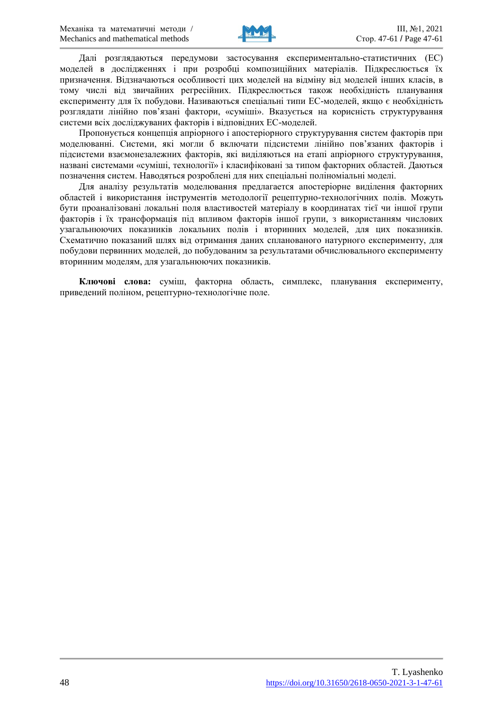

Далі розглядаються передумови застосування експериментально-статистичних (ЕС) моделей в дослідженнях і при розробці композиційних матеріалів. Підкреслюється їх призначення. Відзначаються особливості цих моделей на відміну від моделей інших класів, в тому числі від звичайних регресійних. Підкреслюється також необхідність планування експерименту для їх побудови. Називаються спеціальні типи ЕС-моделей, якщо є необхідність розглядати лінійно пов'язані фактори, «суміші». Вказується на корисність структурування системи всіх досліджуваних факторів і відповідних ЕС-моделей.

Пропонується концепція апріорного і апостеріорного структурування систем факторів при моделюванні. Системи, які могли б включати підсистеми лінійно пов'язаних факторів і підсистеми взаємонезалежних факторів, які виділяються на етапі апріорного структурування, названі системами «суміші, технології» і класифіковані за типом факторних областей. Даються позначення систем. Наводяться розроблені для них спеціальні поліноміальні моделі.

Для аналізу результатів моделювання предлагаетcя апостеріорне виділення факторних областей і використання інструментів методології рецептурно-технологічних полів. Можуть бути проаналізовані локальні поля властивостей матеріалу в координатах тієї чи іншої групи факторів і їх трансформація під впливом факторів іншої групи, з використанням числових узагальнюючих показників локальних полів і вторинних моделей, для цих показників. Схематично показаний шлях від отримання даних спланованого натурного експерименту, для побудови первинних моделей, до побудованим за результатами обчислювального експерименту вторинним моделям, для узагальнюючих показників.

**Ключові слова:** суміш, факторна область, симплекс, планування експерименту, приведений поліном, рецептурно-технологічне поле.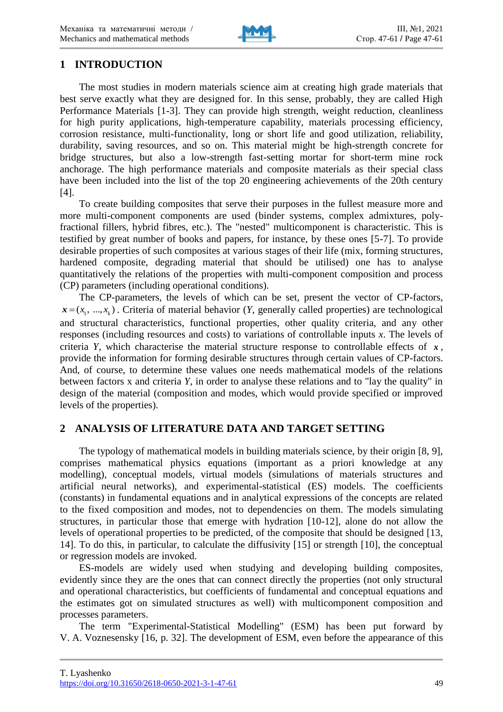

#### **1 INTRODUCTION**

The most studies in modern materials science aim at creating high grade materials that best serve exactly what they are designed for. In this sense, probably, they are called High Performance Materials [1-3]. They can provide high strength, weight reduction, cleanliness for high purity applications, high-temperature capability, materials processing efficiency, corrosion resistance, multi-functionality, long or short life and good utilization, reliability, durability, saving resources, and so on. This material might be high-strength concrete for bridge structures, but also a low-strength fast-setting mortar for short-term mine rock anchorage. The high performance materials and composite materials as their special class have been included into the list of the top 20 engineering achievements of the 20th century [4].

To create building composites that serve their purposes in the fullest measure more and more multi-component components are used (binder systems, complex admixtures, polyfractional fillers, hybrid fibres, etc.). The "nested" multicomponent is characteristic. This is testified by great number of books and papers, for instance, by these ones [5-7]. To provide desirable properties of such composites at various stages of their life (mix, forming structures, hardened composite, degrading material that should be utilised) one has to analyse quantitatively the relations of the properties with multi-component composition and process (CP) parameters (including operational conditions).

The CP-parameters, the levels of which can be set, present the vector of CP-factors,  $\mathbf{x} = (x_1, \dots, x_k)$ . Criteria of material behavior (*Y*, generally called properties) are technological and structural characteristics, functional properties, other quality criteria, and any other responses (including resources and costs) to variations of controllable inputs *x*. The levels of criteria *Y*, which characterise the material structure response to controllable effects of  $x$ , provide the information for forming desirable structures through certain values of CP-factors. And, of course, to determine these values one needs mathematical models of the relations between factors x and criteria *Y*, in order to analyse these relations and to "lay the quality" in design of the material (composition and modes, which would provide specified or improved levels of the properties).

## **2 ANALYSIS OF LITERATURE DATA AND TARGET SETTING**

The typology of mathematical models in building materials science, by their origin [8, 9], comprises mathematical physics equations (important as a priori knowledge at any modelling), conceptual models, virtual models (simulations of materials structures and artificial neural networks), and experimental-statistical (ES) models. The coefficients (constants) in fundamental equations and in analytical expressions of the concepts are related to the fixed composition and modes, not to dependencies on them. The models simulating structures, in particular those that emerge with hydration [10-12], alone do not allow the levels of operational properties to be predicted, of the composite that should be designed [13, 14]. To do this, in particular, to calculate the diffusivity [15] or strength [10], the conceptual or regression models are invoked.

ES-models are widely used when studying and developing building composites, evidently since they are the ones that can connect directly the properties (not only structural and operational characteristics, but coefficients of fundamental and conceptual equations and the estimates got on simulated structures as well) with multicomponent composition and processes parameters.

The term "Experimental-Statistical Modelling" (ESM) has been put forward by V. A. Voznesensky [16, p. 32]. The development of ESM, even before the appearance of this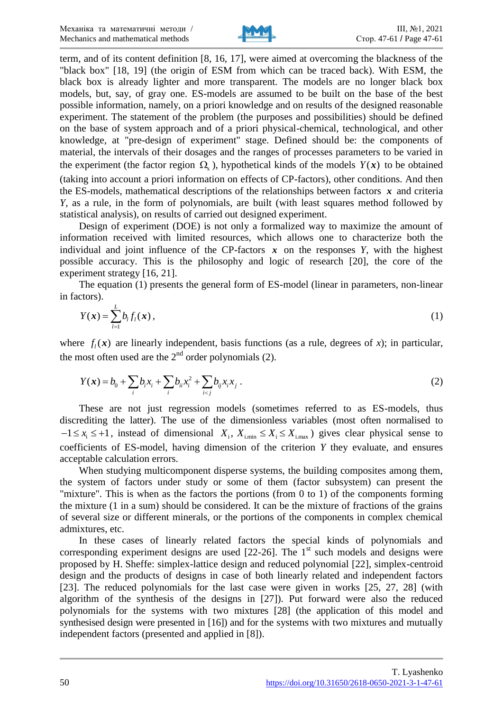

term, and of its content definition [8, 16, 17], were aimed at overcoming the blackness of the "black box" [18, 19] (the origin of ESM from which can be traced back). With ESM, the black box is already lighter and more transparent. The models are no longer black box models, but, say, of gray one. ES-models are assumed to be built on the base of the best possible information, namely, on a priori knowledge and on results of the designed reasonable experiment. The statement of the problem (the purposes and possibilities) should be defined on the base of system approach and of a priori physical-chemical, technological, and other knowledge, at "pre-design of experiment" stage. Defined should be: the components of material, the intervals of their dosages and the ranges of processes parameters to be varied in the experiment (the factor region  $\Omega_{\chi}$ ), hypothetical kinds of the models  $Y(x)$  to be obtained (taking into account a priori information on effects of CP-factors), other conditions. And then the ES-models, mathematical descriptions of the relationships between factors  $x$  and criteria *Y*, as a rule, in the form of polynomials, are built (with least squares method followed by statistical analysis), on results of carried out designed experiment.

Design of experiment (DOE) is not only a formalized way to maximize the amount of information received with limited resources, which allows one to characterize both the individual and joint influence of the CP-factors  $x$  on the responses  $Y$ , with the highest possible accuracy. This is the philosophy and logic of research [20], the core of the experiment strategy [16, 21].

The equation (1) presents the general form of ES-model (linear in parameters, non-linear in factors).

$$
Y(\boldsymbol{x}) = \sum_{l=1}^{L} b_l f_l(\boldsymbol{x}), \qquad (1)
$$

where  $f_i(x)$  are linearly independent, basis functions (as a rule, degrees of *x*); in particular, the most often used are the  $2<sup>nd</sup>$  order polynomials (2).

$$
Y(\mathbf{x}) = b_0 + \sum_i b_i x_i + \sum_i b_{ii} x_i^2 + \sum_{i < j} b_{ij} x_i x_j \,. \tag{2}
$$

These are not just regression models (sometimes referred to as ES-models, thus discrediting the latter). The use of the dimensionless variables (most often normalised to  $-1 \le x_i \le +1$ , instead of dimensional  $X_i$ ,  $X_{i,min} \le X_i \le X_{i,max}$ ) gives clear physical sense to coefficients of ES-model, having dimension of the criterion *Y* they evaluate, and ensures acceptable calculation errors.

When studying multicomponent disperse systems, the building composites among them, the system of factors under study or some of them (factor subsystem) can present the "mixture". This is when as the factors the portions (from 0 to 1) of the components forming the mixture (1 in a sum) should be considered. It can be the mixture of fractions of the grains of several size or different minerals, or the portions of the components in complex chemical admixtures, etc.

In these cases of linearly related factors the special kinds of polynomials and corresponding experiment designs are used  $[22-26]$ . The  $1<sup>st</sup>$  such models and designs were proposed by H. Sheffe: simplex-lattice design and reduced polynomial [22], simplex-centroid design and the products of designs in case of both linearly related and independent factors [23]. The reduced polynomials for the last case were given in works [25, 27, 28] (with algorithm of the synthesis of the designs in [27]). Put forward were also the reduced polynomials for the systems with two mixtures [28] (the application of this model and synthesised design were presented in [16]) and for the systems with two mixtures and mutually independent factors (presented and applied in [8]).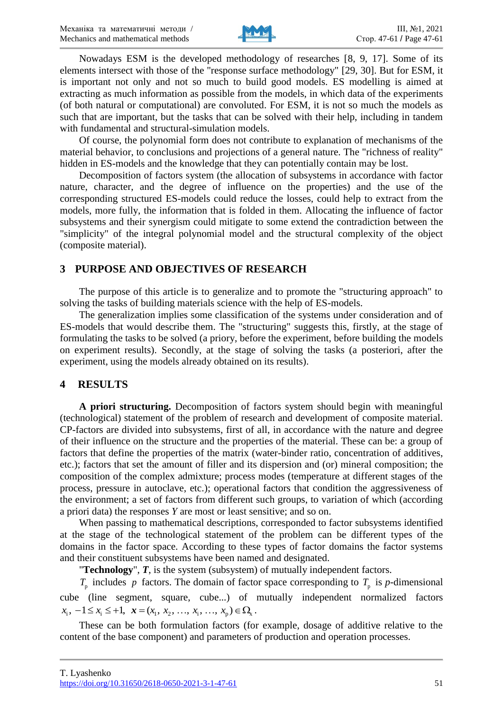

Nowadays ESM is the developed methodology of researches [8, 9, 17]. Some of its elements intersect with those of the "response surface methodology" [29, 30]. But for ESM, it is important not only and not so much to build good models. ES modelling is aimed at extracting as much information as possible from the models, in which data of the experiments (of both natural or computational) are convoluted. For ESM, it is not so much the models as such that are important, but the tasks that can be solved with their help, including in tandem with fundamental and structural-simulation models.

Of course, the polynomial form does not contribute to explanation of mechanisms of the material behavior, to conclusions and projections of a general nature. The "richness of reality" hidden in ES-models and the knowledge that they can potentially contain may be lost.

Decomposition of factors system (the allocation of subsystems in accordance with factor nature, character, and the degree of influence on the properties) and the use of the corresponding structured ES-models could reduce the losses, could help to extract from the models, more fully, the information that is folded in them. Allocating the influence of factor subsystems and their synergism could mitigate to some extend the contradiction between the "simplicity" of the integral polynomial model and the structural complexity of the object (composite material).

#### **3 PURPOSE AND OBJECTIVES OF RESEARCH**

The purpose of this article is to generalize and to promote the "structuring approach" to solving the tasks of building materials science with the help of ES-models.

The generalization implies some classification of the systems under consideration and of ES-models that would describe them. The "structuring" suggests this, firstly, at the stage of formulating the tasks to be solved (a priory, before the experiment, before building the models on experiment results). Secondly, at the stage of solving the tasks (a posteriori, after the experiment, using the models already obtained on its results).

## **4 RESULTS**

**A priori structuring.** Decomposition of factors system should begin with meaningful (technological) statement of the problem of research and development of composite material. CP-factors are divided into subsystems, first of all, in accordance with the nature and degree of their influence on the structure and the properties of the material. These can be: a group of factors that define the properties of the matrix (water-binder ratio, concentration of additives, etc.); factors that set the amount of filler and its dispersion and (or) mineral composition; the composition of the complex admixture; process modes (temperature at different stages of the process, pressure in autoclave, etc.); operational factors that condition the aggressiveness of the environment; a set of factors from different such groups, to variation of which (according a priori data) the responses *Y* are most or least sensitive; and so on.

When passing to mathematical descriptions, corresponded to factor subsystems identified at the stage of the technological statement of the problem can be different types of the domains in the factor space. According to these types of factor domains the factor systems and their constituent subsystems have been named and designated.

"**Technology**", *T*, is the system (subsystem) of mutually independent factors.

 $T_p$  includes p factors. The domain of factor space corresponding to  $T_p$  is p-dimensional cube (line segment, square, cube...) of mutually independent normalized factors  $x_i, -1 \le x_i \le +1, x = (x_1, x_2, ..., x_i, ..., x_n) \in \Omega$ .

These can be both formulation factors (for example, dosage of additive relative to the content of the base component) and parameters of production and operation processes.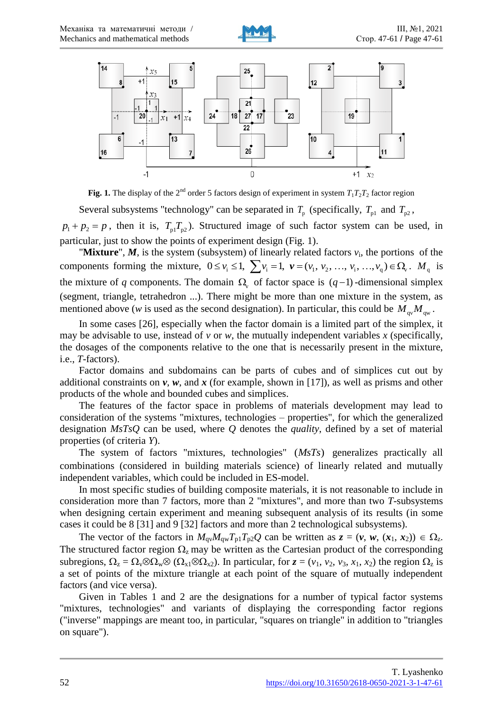



**Fig. 1.** The display of the 2<sup>nd</sup> order 5 factors design of experiment in system  $T_1T_2T_2$  factor region

Several subsystems "technology" can be separated in  $T_p$  (specifically,  $T_{p1}$  and  $T_{p2}$ ,  $p_1 + p_2 = p$ , then it is,  $T_{p_1} T_{p_2}$ ). Structured image of such factor system can be used, in particular, just to show the points of experiment design (Fig. 1).

"Mixture",  $M$ , is the system (subsystem) of linearly related factors  $v_i$ , the portions of the components forming the mixture,  $0 \le v_i \le 1$ ,  $\sum v_i = 1$ ,  $v = (v_1, v_2, ..., v_i, ..., v_q) \in \Omega$ ,  $M_q$  is the mixture of q components. The domain  $\Omega$ , of factor space is  $(q-1)$ -dimensional simplex (segment, triangle, tetrahedron ...). There might be more than one mixture in the system, as mentioned above (*w* is used as the second designation). In particular, this could be  $M_{\text{qv}}M_{\text{qw}}$ .

In some cases [26], especially when the factor domain is a limited part of the simplex, it may be advisable to use, instead of *v* or *w*, the mutually independent variables *x* (specifically, the dosages of the components relative to the one that is necessarily present in the mixture, i.e., *T*-factors).

Factor domains and subdomains can be parts of cubes and of simplices cut out by additional constraints on *v*, *w*, and *x* (for example, shown in [17]), as well as prisms and other products of the whole and bounded cubes and simplices.

The features of the factor space in problems of materials development may lead to consideration of the systems "mixtures, technologies – properties", for which the generalized designation *MsTsQ* can be used, where *Q* denotes the *quality*, defined by a set of material properties (of criteria *Y*).

The system of factors "mixtures, technologies"  $(MsTs)$  generalizes practically all combinations (considered in building materials science) of linearly related and mutually independent variables, which could be included in ES-model.

In most specific studies of building composite materials, it is not reasonable to include in consideration more than 7 factors, more than 2 "mixtures", and more than two *T*-subsystems when designing certain experiment and meaning subsequent analysis of its results (in some cases it could be 8 [31] and 9 [32] factors and more than 2 technological subsystems).

The vector of the factors in  $M_{qv}M_{qw}T_{p1}T_{p2}Q$  can be written as  $z = (v, w, (x_1, x_2)) \in \Omega_z$ . The structured factor region  $\Omega$ <sub>z</sub> may be written as the Cartesian product of the corresponding subregions,  $\Omega_z = \Omega_v \otimes \Omega_w \otimes (\Omega_{x1} \otimes \Omega_{x2})$ . In particular, for  $z = (v_1, v_2, v_3, x_1, x_2)$  the region  $\Omega_z$  is a set of points of the mixture triangle at each point of the square of mutually independent factors (and vice versa).

Given in Tables 1 and 2 are the designations for a number of typical factor systems "mixtures, technologies" and variants of displaying the corresponding factor regions ("inverse" mappings are meant too, in particular, "squares on triangle" in addition to "triangles on square").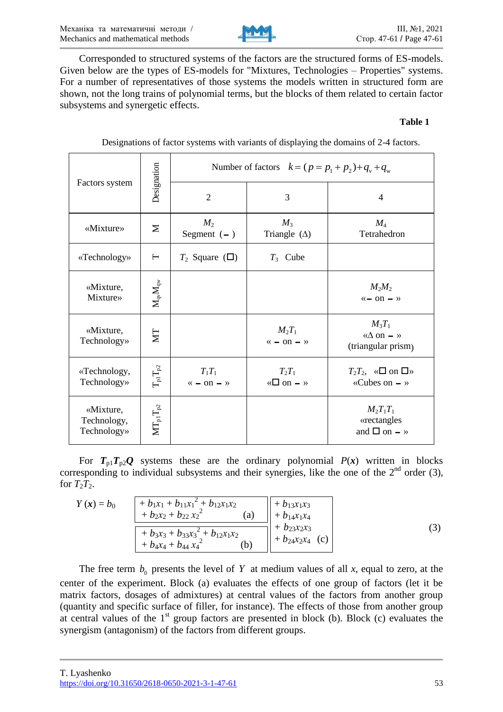

Corresponded to structured systems of the factors are the structured forms of ES-models. Given below are the types of ES-models for "Mixtures, Technologies – Properties" systems. For a number of representatives of those systems the models written in structured form are shown, not the long trains of polynomial terms, but the blocks of them related to certain factor subsystems and synergetic effects.

#### **Table 1**

| Factors system                          | Designation                                                          | Number of factors $k = (p = p_1 + p_2) + q_v + q_w$ |                                         |                                                                |  |
|-----------------------------------------|----------------------------------------------------------------------|-----------------------------------------------------|-----------------------------------------|----------------------------------------------------------------|--|
|                                         |                                                                      | $\overline{2}$                                      | 3                                       | $\overline{4}$                                                 |  |
| «Mixture»                               | $\mathbf{z}$                                                         | $M_2$<br>Segment $(-)$                              | $M_3$<br>Triangle $(\Delta)$            | $M_4$<br>Tetrahedron                                           |  |
| «Technology»                            | $\vdash$                                                             | $T_2$ Square ( $\square$ )                          | $T_3$ Cube                              |                                                                |  |
| «Mixture,<br>Mixture»                   | $\mathbf{M}_{\mathbf{q}\mathbf{v}}\mathbf{M}_{\mathbf{q}\mathbf{w}}$ |                                                     |                                         | $M_2M_2$<br>$\leftarrow$ on $-$ »                              |  |
| «Mixture,<br>Technology»                | ZД                                                                   |                                                     | $M_2T_1$<br>$\leftarrow$ on $-$ »       | $M_3T_1$<br>« $\Delta$ on $-$ »<br>(triangular prism)          |  |
| «Technology,<br>Technology»             | $T_{\rm pl}T_{\rm p2}$                                               | $T_1T_1$<br>« $-$ on $-$ »                          | $T_2T_1$<br>« $\Box$ on $\rightarrow$ » | $T_2T_2$ , « $\square$ on $\square$ »<br>«Cubes on $-$ »       |  |
| «Mixture,<br>Technology,<br>Technology» | $\mathbf{MT}_{p1}\mathbf{T}_{p2}$                                    |                                                     |                                         | $M_2T_1T_1$<br>«rectangles<br>and $\square$ on $\rightarrow$ » |  |

Designations of factor systems with variants of displaying the domains of 2-4 factors.

For  $T_{p1}T_{p2}Q$  systems these are the ordinary polynomial  $P(x)$  written in blocks corresponding to individual subsystems and their synergies, like the one of the  $2<sup>nd</sup>$  order (3), for  $T_2T_2$ .

| $Y(x) = b_0$ | $+ b_1x_1 + b_{11}x_1^2 + b_{12}x_1x_2$<br>$+ b_2 x_2 + b_{22} x_2^2$<br>[a] | + $b_{13}x_1x_3$<br>$+ b_{14}x_1x_4$         |  |
|--------------|------------------------------------------------------------------------------|----------------------------------------------|--|
|              | $+ b_3x_3 + b_{33}x_3^2 + b_{12}x_1x_2$<br>$+ b_4x_4 + b_{44}x_4^2$<br>(b)   | $+ b_{23}x_{2}x_{3}$<br>+ $b_{24}x_2x_4$ (c) |  |

The free term  $b_0$  presents the level of Y at medium values of all x, equal to zero, at the center of the experiment. Block (a) evaluates the effects of one group of factors (let it be matrix factors, dosages of admixtures) at central values of the factors from another group (quantity and specific surface of filler, for instance). The effects of those from another group at central values of the  $1<sup>st</sup>$  group factors are presented in block (b). Block (c) evaluates the synergism (antagonism) of the factors from different groups.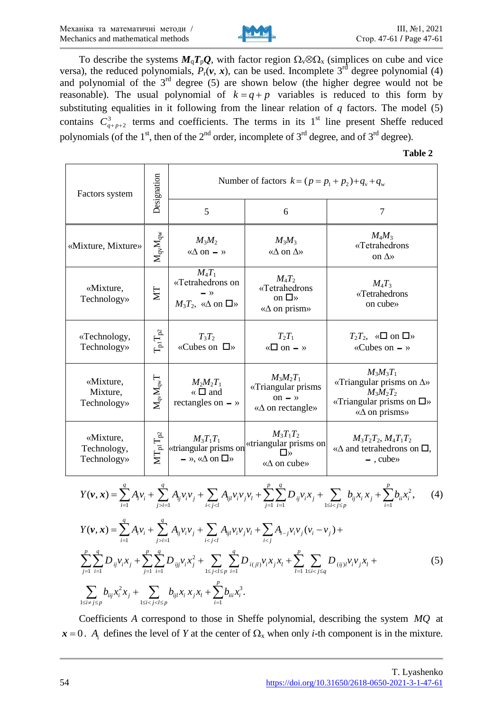

To describe the systems  $M_qT_pQ$ , with factor region  $\Omega_v \otimes \Omega_x$  (simplices on cube and vice versa), the reduced polynomials,  $P_r(v, x)$ , can be used. Incomplete 3<sup>rd</sup> degree polynomial (4) and polynomial of the 3rd degree (5) are shown below (the higher degree would not be reasonable). The usual polynomial of  $k = q + p$  variables is reduced to this form by substituting equalities in it following from the linear relation of  $q$  factors. The model (5) contains  $C_{q+p+2}^3$  terms and coefficients. The terms in its 1<sup>st</sup> line present Sheffe reduced polynomials (of the  $1<sup>st</sup>$ , then of the  $2<sup>nd</sup>$  order, incomplete of  $3<sup>rd</sup>$  degree, and of  $3<sup>rd</sup>$  degree).

**Table 2**

| Factors system                          | Designation                                                          | Number of factors $k = (p = p_1 + p_2) + q_v + q_w$                                   |                                                                                 |                                                                                                                                    |  |
|-----------------------------------------|----------------------------------------------------------------------|---------------------------------------------------------------------------------------|---------------------------------------------------------------------------------|------------------------------------------------------------------------------------------------------------------------------------|--|
|                                         |                                                                      | 5                                                                                     | 6                                                                               | $\overline{7}$                                                                                                                     |  |
| «Mixture, Mixture»                      | $\mathbf{M}_{\mathbf{q}\mathbf{v}}\mathbf{M}_{\mathbf{q}\mathbf{w}}$ | $M_3M_2$<br>« $\Delta$ on $-$ »                                                       | $M_3M_3$<br>« $\Delta$ on $\Delta$ »                                            | $M_4M_3$<br>«Tetrahedrons<br>on $\Delta$ »                                                                                         |  |
| «Mixture,<br>Technology»                | ZИ                                                                   | $M_4T_1$<br>«Tetrahedrons on<br>$\rightarrow$<br>$M_3T_2$ , « $\Delta$ on $\square$ » | $M_4T_2$<br>«Tetrahedrons<br>on $\square$ »<br>$\langle \Delta$ on prism»       | $M_4T_3$<br>«Tetrahedrons<br>on cube»                                                                                              |  |
| «Technology,<br>Technology»             | $T_{\rm pl}T_{\rm p2}$                                               | $T_3T_2$<br>«Cubes on $\Box$ »                                                        | $T_2T_1$<br>« $\Box$ on $\rightarrow$ »                                         | $T_2T_2$ , « $\square$ on $\square$ »<br>«Cubes on $-$ »                                                                           |  |
| «Mixture,<br>Mixture,<br>Technology»    | $\rm M_{\rm qv}M_{\rm qw}T$                                          | $M_2M_2T_1$<br>$\kappa \Box$ and<br>rectangles on $-$ »                               | $M_3M_2T_1$<br>«Triangular prisms<br>on $-$ »<br>$\langle \Delta$ on rectangle» | $M_3M_3T_1$<br>«Triangular prisms on $\Delta$ »<br>$M_3M_2T_2$<br>«Triangular prisms on $\square$ »<br>$\langle \Delta$ on prisms» |  |
| «Mixture,<br>Technology,<br>Technology» | $MT_{p1}T_{p2}$                                                      | $M_3T_1T_1$<br>«triangular prisms on<br>$\rightarrow$ », « $\Delta$ on $\square$ »    | $M_3T_1T_2$<br>«triangular prisms on<br>П»<br>$\langle \Delta$ on cube»         | $M_3T_2T_2$ , $M_4T_1T_2$<br>$\langle \Delta \rangle$ and tetrahedrons on $\Box$ .<br>$-$ , cube $\rightarrow$                     |  |

$$
Y(\nu, x) = \sum_{i=1}^{q} A_{i} \nu_{i} + \sum_{j>i=1}^{q} A_{ij} \nu_{i} \nu_{j} + \sum_{i\n
$$
Y(\nu, x) = \sum_{i=1}^{q} A_{i} \nu_{i} + \sum_{j>i=1}^{q} A_{ij} \nu_{i} \nu_{j} + \sum_{i\n
$$
(5)
$$
$$
$$

Coefficients *A* correspond to those in Sheffe polynomial, describing the system *MQ* at  $x = 0$ . *A*<sub>i</sub> defines the level of *Y* at the center of  $\Omega_x$  when only *i*-th component is in the mixture.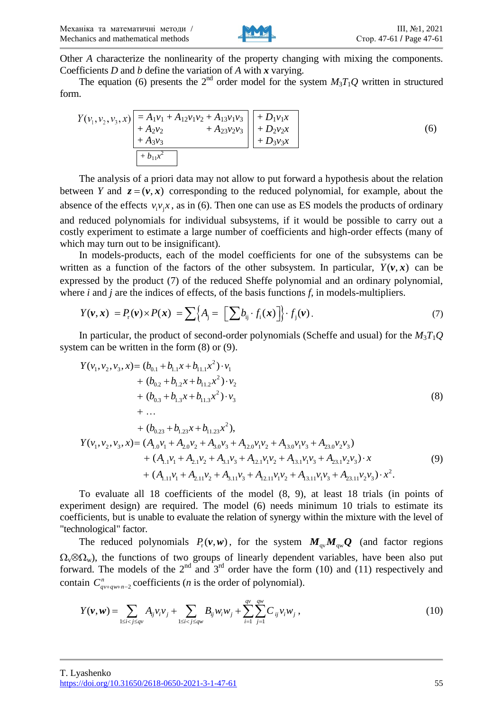

Other *A* characterize the nonlinearity of the property changing with mixing the components. Coefficients *D* and *b* define the variation of *A* with *x* varying.

The equation (6) presents the  $2<sup>nd</sup>$  order model for the system  $M_3T_1Q$  written in structured form.

$$
Y(\nu_1, \nu_2, \nu_3, x) = A_1 \nu_1 + A_{12} \nu_1 \nu_2 + A_{13} \nu_1 \nu_3 + A_{23} \nu_2 \nu_3 + A_{23} \nu_2 \nu_3 + B_2 \nu_3 \nu_4 + D_3 \nu_3 x + D_3 \nu_3 x
$$
\n(6)

The analysis of a priori data may not allow to put forward a hypothesis about the relation between *Y* and  $z = (v, x)$  corresponding to the reduced polynomial, for example, about the absence of the effects  $v_i v_j x$ , as in (6). Then one can use as ES models the products of ordinary and reduced polynomials for individual subsystems, if it would be possible to carry out a costly experiment to estimate a large number of coefficients and high-order effects (many of which may turn out to be insignificant).

In models-products, each of the model coefficients for one of the subsystems can be written as a function of the factors of the other subsystem. In particular,  $Y(v, x)$  can be expressed by the product (7) of the reduced Sheffe polynomial and an ordinary polynomial, where *i* and *j* are the indices of effects, of the basis functions *f*, in models-multipliers.

$$
Y(\mathbf{v}, \mathbf{x}) = P_{\mathrm{r}}(\mathbf{v}) \times P(\mathbf{x}) = \sum \Big\{ A_{\mathrm{j}} = \Big[ \sum b_{\mathrm{ij}} \cdot f_{\mathrm{i}}(\mathbf{x}) \Big] \Big\} \cdot f_{\mathrm{j}}(\mathbf{v}). \tag{7}
$$

In particular, the product of second-order polynomials (Scheffe and usual) for the *M*3*T*1*Q* system can be written in the form (8) or (9).

$$
Y(\nu_1, \nu_2, \nu_3, x) = (b_{0.1} + b_{1.1}x + b_{11.1}x^2) \cdot \nu_1
$$
  
+  $(b_{0.2} + b_{1.2}x + b_{11.2}x^2) \cdot \nu_2$   
+  $(b_{0.3} + b_{1.3}x + b_{11.3}x^2) \cdot \nu_3$   
+ ...  
+  $(b_{0.23} + b_{1.23}x + b_{11.23}x^2),$   

$$
Y(\nu_1, \nu_2, \nu_3, x) = (A_{1.0}\nu_1 + A_{2.0}\nu_2 + A_{3.0}\nu_3 + A_{12.0}\nu_1\nu_2 + A_{13.0}\nu_1\nu_3 + A_{23.0}\nu_2\nu_3)
$$
  
+  $(A_{1.1}\nu_1 + A_{2.1}\nu_2 + A_{3.1}\nu_3 + A_{12.1}\nu_1\nu_2 + A_{13.1}\nu_1\nu_3 + A_{23.1}\nu_2\nu_3) \cdot x$   
+  $(A_{1.1}\nu_1 + A_{2.11}\nu_2 + A_{3.11}\nu_3 + A_{12.11}\nu_1\nu_2 + A_{13.11}\nu_1\nu_3 + A_{23.11}\nu_2\nu_3) \cdot x^2.$  (9)

To evaluate all 18 coefficients of the model (8, 9), at least 18 trials (in points of experiment design) are required. The model (6) needs minimum 10 trials to estimate its coefficients, but is unable to evaluate the relation of synergy within the mixture with the level of "technological" factor.

The reduced polynomials  $P_r(v, w)$ , for the system  $M_{qv}M_{qw}Q$  (and factor regions  $\Omega_{\rm v}\otimes\Omega_{\rm w}$ ), the functions of two groups of linearly dependent variables, have been also put forward. The models of the  $2<sup>nd</sup>$  and  $3<sup>rd</sup>$  order have the form (10) and (11) respectively and contain  $C_{qv+qw+n-2}^n$  coefficients (*n* is the order of polynomial).

$$
Y(\nu, w) = \sum_{1 \le i < j \le q\nu} A_{ij} v_i v_j + \sum_{1 \le i < j \le q\nu} B_{ij} w_i w_j + \sum_{i=1}^{q\nu} \sum_{j=1}^{q\nu} C_{ij} v_i w_j , \qquad (10)
$$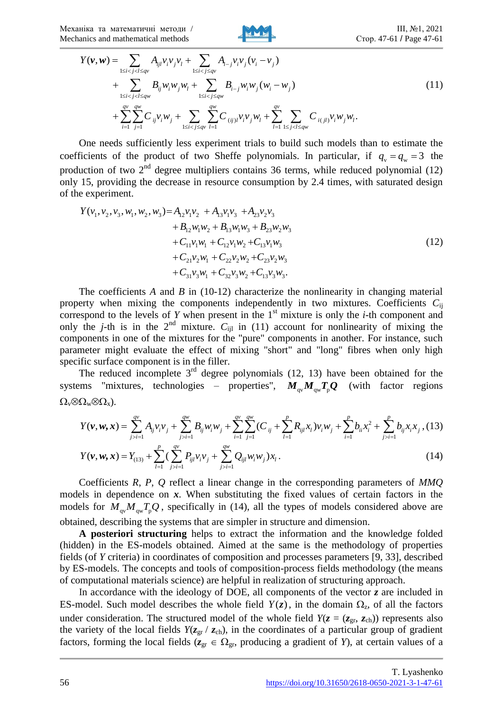Механіка та математичні методи / Mechanics and mathematical methods



$$
Y(\nu, w) = \sum_{1 \le i < j < l \le qv} A_{ijl} v_i v_j v_l + \sum_{1 \le i < j \le qv} A_{i-j} v_i v_j (v_i - v_j)
$$
  
+ 
$$
\sum_{1 \le i < j < l \le qw} B_{ij} w_i w_j w_l + \sum_{1 \le i < j \le qv} B_{i-j} w_i w_j (w_i - w_j)
$$
  
+ 
$$
\sum_{i=1}^{qv} \sum_{j=1}^{qw} C_{ij} v_i w_j + \sum_{1 \le i < j \le qv} \sum_{l=1}^{qw} C_{(ij)l} v_i v_j w_l + \sum_{l=1}^{qv} \sum_{1 \le j < l \le qw} C_{i(jl)} v_i w_j w_l.
$$
 (11)

One needs sufficiently less experiment trials to build such models than to estimate the coefficients of the product of two Sheffe polynomials. In particular, if  $q_y = q_w = 3$  the production of two  $2<sup>nd</sup>$  degree multipliers contains 36 terms, while reduced polynomial (12) only 15, providing the decrease in resource consumption by 2.4 times, with saturated design of the experiment.

$$
Y(\nu_1, \nu_2, \nu_3, w_1, w_2, w_3) = A_{12} \nu_1 \nu_2 + A_{13} \nu_1 \nu_3 + A_{23} \nu_2 \nu_3
$$
  
+  $B_{12} w_1 w_2 + B_{13} w_1 w_3 + B_{23} w_2 w_3$   
+  $C_{11} \nu_1 w_1 + C_{12} \nu_1 w_2 + C_{13} \nu_1 w_3$   
+  $C_{21} \nu_2 w_1 + C_{22} \nu_2 w_2 + C_{23} \nu_2 w_3$   
+  $C_{31} \nu_3 w_1 + C_{32} \nu_3 w_2 + C_{13} \nu_3 w_3$ . (12)

The coefficients *A* and *B* in (10-12) characterize the nonlinearity in changing material property when mixing the components independently in two mixtures. Coefficients *C*ij correspond to the levels of  $Y$  when present in the  $1<sup>st</sup>$  mixture is only the  $i$ -th component and only the *j*-th is in the  $2<sup>nd</sup>$  mixture.  $C_{ijl}$  in (11) account for nonlinearity of mixing the components in one of the mixtures for the "pure" components in another. For instance, such parameter might evaluate the effect of mixing "short" and "long" fibres when only high specific surface component is in the filler.

The reduced incomplete  $3<sup>rd</sup>$  degree polynomials (12, 13) have been obtained for the systems "mixtures, technologies – properties",  $M_{\text{qv}}M_{\text{qv}}T_{\text{p}}Q$  (with factor regions  $\Omega_{\rm v}\otimes\Omega_{\rm w}\otimes\Omega_{\rm x}$ ).

$$
Y(\mathbf{v}, \mathbf{w}, \mathbf{x}) = \sum_{j>i=1}^{qv} A_{ij} v_i v_j + \sum_{j>i=1}^{qv} B_{ij} w_i w_j + \sum_{i=1}^{qv} \sum_{j=1}^{qv} (C_{ij} + \sum_{l=1}^{p} R_{ijl} x_l) v_i w_j + \sum_{i=1}^{p} b_{ii} x_i^2 + \sum_{j>i=1}^{p} b_{ij} x_i x_j, (13)
$$
  

$$
Y(\mathbf{v}, \mathbf{w}, \mathbf{r}) - Y + \sum_{j=1}^{p} (\sum_{j=1}^{qv} P_{j} v_j) + \sum_{j=1}^{qv} Q_{j} w_j w_j) \mathbf{r}
$$
 (14)

$$
Y(\nu, w, x) = Y_{(13)} + \sum_{l=1}^{P} \left( \sum_{j>i=1}^{V} P_{ijl} v_i v_j + \sum_{j>i=1}^{V} Q_{ijl} w_i w_j \right) x_l.
$$
 (14)

Coefficients *R*, *P*, *Q* reflect a linear change in the corresponding parameters of *MMQ* models in dependence on  $x$ . When substituting the fixed values of certain factors in the models for  $M_{\rm qv}M_{\rm qv}T_{\rm p}Q$ , specifically in (14), all the types of models considered above are obtained, describing the systems that are simpler in structure and dimension.

**A posteriori structuring** helps to extract the information and the knowledge folded (hidden) in the ES-models obtained. Aimed at the same is the methodology of properties fields (of *Y* criteria) in coordinates of composition and processes parameters [9, 33], described by ES-models. The concepts and tools of composition-process fields methodology (the means of computational materials science) are helpful in realization of structuring approach.

In accordance with the ideology of DOE, all components of the vector *z* are included in ES-model. Such model describes the whole field  $Y(z)$ , in the domain  $\Omega_z$ , of all the factors under consideration. The structured model of the whole field  $Y(z = (z_{gr}, z_{ch}))$  represents also the variety of the local fields  $Y(z_{gr} / z_{ch})$ , in the coordinates of a particular group of gradient factors, forming the local fields ( $z_{gr} \in \Omega_{gr}$ , producing a gradient of *Y*), at certain values of a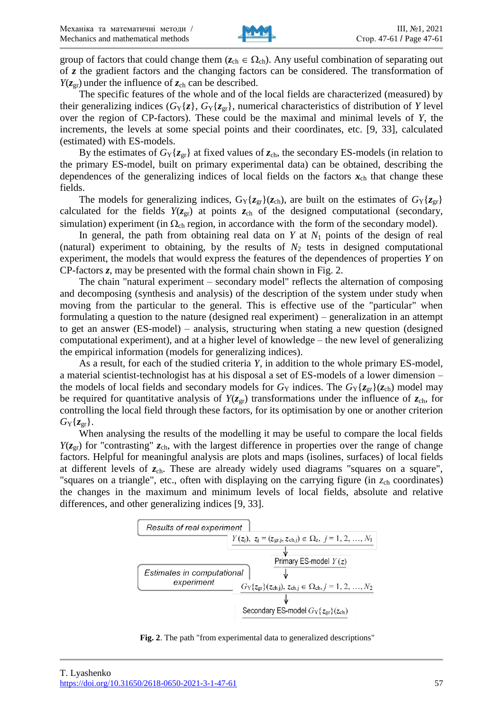

group of factors that could change them  $(z_{ch} \in \Omega_{ch})$ . Any useful combination of separating out of *z* the gradient factors and the changing factors can be considered. The transformation of  $Y(z_{\text{or}})$  under the influence of  $z_{\text{ch}}$  can be described.

The specific features of the whole and of the local fields are characterized (measured) by their generalizing indices  $(G_Y\{z\}, G_Y\{z_{gr}\})$ , numerical characteristics of distribution of *Y* level over the region of CP-factors). These could be the maximal and minimal levels of *Y*, the increments, the levels at some special points and their coordinates, etc. [9, 33], calculated (estimated) with ES-models.

By the estimates of  $G_Y$ { $z_{gr}$ } at fixed values of  $z_{ch}$ , the secondary ES-models (in relation to the primary ES-model, built on primary experimental data) can be obtained, describing the dependences of the generalizing indices of local fields on the factors  $x<sub>ch</sub>$  that change these fields.

The models for generalizing indices,  $G_Y\{z_{gr}\}(z_{ch})$ , are built on the estimates of  $G_Y\{z_{gr}\}$ calculated for the fields  $Y(z_{gr})$  at points  $z_{ch}$  of the designed computational (secondary, simulation) experiment (in  $\Omega_{ch}$  region, in accordance with the form of the secondary model).

In general, the path from obtaining real data on  $Y$  at  $N_1$  points of the design of real (natural) experiment to obtaining, by the results of  $N_2$  tests in designed computational experiment, the models that would express the features of the dependences of properties *Y* on CP-factors *z*, may be presented with the formal chain shown in Fig. 2.

The chain "natural experiment – secondary model" reflects the alternation of composing and decomposing (synthesis and analysis) of the description of the system under study when moving from the particular to the general. This is effective use of the "particular" when formulating a question to the nature (designed real experiment) – generalization in an attempt to get an answer (ES-model) – analysis, structuring when stating a new question (designed computational experiment), and at a higher level of knowledge – the new level of generalizing the empirical information (models for generalizing indices).

As a result, for each of the studied criteria *Y*, in addition to the whole primary ES-model, a material scientist-technologist has at his disposal a set of ES-models of a lower dimension – the models of local fields and secondary models for  $G_Y$  indices. The  $G_Y\{z_{\text{gr}}\}(z_{\text{ch}})$  model may be required for quantitative analysis of  $Y(z_{gr})$  transformations under the influence of  $z_{ch}$ , for controlling the local field through these factors, for its optimisation by one or another criterion  $G_Y\{z_{gr}\}.$ 

When analysing the results of the modelling it may be useful to compare the local fields  $Y(z_{gr})$  for "contrasting"  $z_{ch}$ , with the largest difference in properties over the range of change factors. Helpful for meaningful analysis are plots and maps (isolines, surfaces) of local fields at different levels of  $z<sub>ch</sub>$ . These are already widely used diagrams "squares on a square", "squares on a triangle", etc., often with displaying on the carrying figure (in  $z<sub>ch</sub>$  coordinates) the changes in the maximum and minimum levels of local fields, absolute and relative differences, and other generalizing indices [9, 33].



**Fig. 2**. The path "from experimental data to generalized descriptions"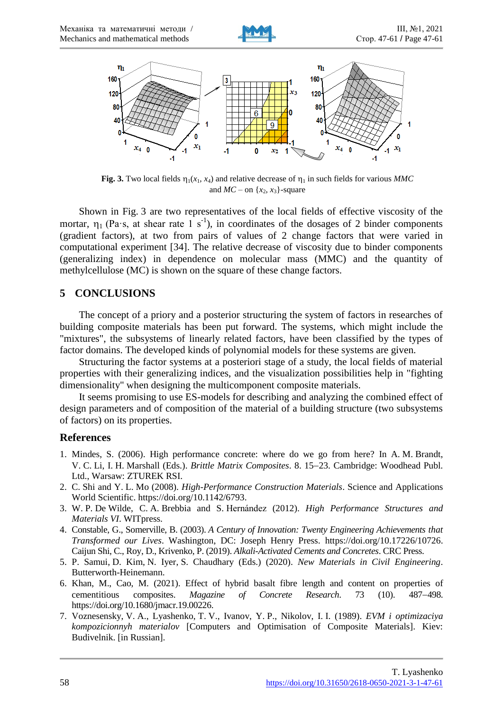



Fig. 3. Two local fields  $\eta_1(x_1, x_4)$  and relative decrease of  $\eta_1$  in such fields for various *MMC* and  $MC$  – on  $\{x_2, x_3\}$ -square

Shown in Fig. 3 are two representatives of the local fields of effective viscosity of the mortar,  $\eta_1$  (Pa·s, at shear rate 1 s<sup>-1</sup>), in coordinates of the dosages of 2 binder components (gradient factors), at two from pairs of values of 2 change factors that were varied in computational experiment [34]. The relative decrease of viscosity due to binder components (generalizing index) in dependence on molecular mass (MMC) and the quantity of methylcellulose (MC) is shown on the square of these change factors.

## **5 CONCLUSIONS**

The concept of a priory and a posterior structuring the system of factors in researches of building composite materials has been put forward. The systems, which might include the "mixtures", the subsystems of linearly related factors, have been classified by the types of factor domains. The developed kinds of polynomial models for these systems are given.

Structuring the factor systems at a posteriori stage of a study, the local fields of material properties with their generalizing indices, and the visualization possibilities help in "fighting dimensionality" when designing the multicomponent composite materials.

It seems promising to use ES-models for describing and analyzing the combined effect of design parameters and of composition of the material of a building structure (two subsystems of factors) on its properties.

## **References**

- 1. Mindes, S. (2006). High performance concrete: where do we go from here? In A. M. Brandt, V. C. Li, I. H. Marshall (Eds.). *Brittle Matrix Composites*. 8. 15–23. Cambridge: Woodhead Publ. Ltd., Warsaw: ZTUREK RSI.
- 2. C. Shi and Y. L. Mo (2008). *High-Performance Construction Materials*. Science and Applications World Scientific. [https://doi.org/10.1142/6793.](https://doi.org/10.1142/6793)
- 3. W. P. De Wilde, C. A. Brebbia and S. Hernández (2012). *High Performance Structures and Materials VI*. WITpress.
- 4. Constable, G., Somerville, B. (2003). *A Century of Innovation: Twenty Engineering Achievements that Transformed our Lives*. Washington, DC: Joseph Henry Press. [https://doi.org/10.17226/10726.](https://doi.org/10.17226/10726) [Caijun Shi,](https://www.routledge.com/search?author=Caijun%20Shi) C.[, Roy,](https://www.routledge.com/search?author=Della%20Roy) D., [Krivenko,](https://www.routledge.com/search?author=Pavel%20Krivenko) P. (2019). *Alkali-Activated Cements and Concretes*. CRC Press.
- 5. P. Samui, D. Kim, N. Iyer, S. Chaudhary (Eds.) (2020). *New Materials in Civil Engineering*. Butterworth-Heinemann.
- 6. Khan, M., Cao, M. (2021). Effect of hybrid basalt fibre length and content on properties of cementitious composites. *Magazine of Concrete Research*. 73 (10). 487–498. [https://doi.org/10.1680/jmacr.19.00226.](https://doi.org/10.1680/jmacr.19.00226)
- 7. Voznesensky, V. A., Lyashenko, T. V., Ivanov, Y. P., Nikolov, I. I. (1989). *EVM i optimizaciya kompozicionnyh materialov* [Computers and Optimisation of Composite Materials]. Kiev: Budivelnik. [in Russian].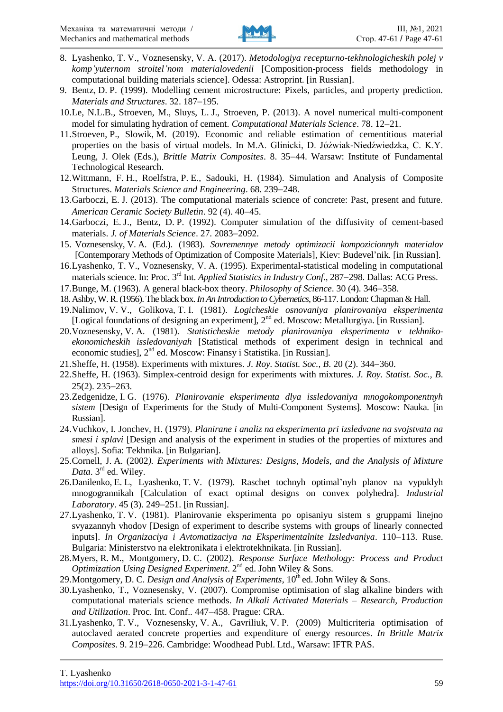

- 8. Lyashenko, T. V., Voznesensky, V. A. (2017). *Metodologiya recepturno-tekhnologicheskih polej v komp'yuternom stroitel'nom materialovedenii* [\[Composition-process fields methodology](https://drive.google.com/file/d/1FCCYDYRe5jC10N3l6Wzwf1T4IgladhQF/view?usp=sharing) in computational building materials science]. Odessa: Astroprint. [in Russian].
- 9. Bentz, D. P. (1999). Modelling cement microstructure: Pixels, particles, and property prediction. *Materials and Structures*. 32. 187-195.
- 10.Le, N.L.B., Stroeven, M., Sluys, L. J., Stroeven, P. (2013). A novel numerical multi-component model for simulating hydration of cement. *Computational Materials Science*. 78. 12–21.
- 11.Stroeven, P., Slowik, M. (2019). Economic and reliable estimation of cementitious material properties on the basis of virtual models. In M.A. Glinicki, D. Jóźwiak-Niedźwiedzka, C. K.Y. Leung, J. Olek (Eds.), *Brittle Matrix Composites*. 8. 35-44. Warsaw: Institute of Fundamental Technological Research.
- 12.Wittmann, F. H., Roelfstra, P. E., Sadouki, H. (1984). Simulation and Analysis of Composite Structures. *Materials Science and Engineering*. 68. 239–248.
- 13.Garboczi, E. J. (2013). The computational materials science of concrete: Past, present and future. *American Ceramic Society Bulletin.* 92 (4). 40–45.
- 14.Garboczi, E. J., Bentz, D. P. (1992). Computer simulation of the diffusivity of cement-based materials. *J. of Materials Science*. 27. 2083-2092.
- 15. Voznesensky, V. A. (Ed.). (1983). *Sovremennye metody optimizacii kompozicionnyh materialov* [Contemporary Methods of Optimization of Composite Materials], Kiev: Budevel'nik. [in Russian].
- 16.Lyashenko, T. V., Voznesensky, V. A. (1995). Experimental-statistical modeling in computational materials science. In: Proc. 3<sup>rd</sup> Int. *Applied Statistics in Industry Conf.*, 287–298. Dallas: ACG Press.
- 17. Bunge, M. (1963). A general black-box theory. *Philosophy of Science*. 30 (4). 346–358.
- 18.Ashby, W.R. (1956). The black box. *In An Introduction to Cybernetics*, 86-117. London: Chapman & Hall.
- 19.Nalimov, V. V., Golikova, T. I. (1981). *Logicheskie osnovaniya planirovaniya eksperimenta* [Logical foundations of designing an experiment], 2<sup>nd</sup> ed. Moscow: Metallurgiya. [in Russian].
- 20.Voznesensky, V. A. (1981). *Statisticheskie metody planirovaniya eksperimenta v tekhnikoekonomicheskih issledovaniyah* [Statistical methods of experiment design in technical and economic studies], 2<sup>nd</sup> ed. Moscow: Finansy i Statistika. [in Russian].
- 21. Sheffe, H. (1958). Experiments with mixtures. *J. Roy. Statist. Soc., B.* 20 (2). 344–360.
- 22.Sheffe, H. (1963). Simplex-centroid design for experiments with mixtures. *J. Roy. Statist. Soc., B*.  $25(2)$ .  $235-263$ .
- 23.Zedgenidze, I. G. (1976). *Planirovanie eksperimenta dlya issledovaniya mnogokomponentnyh sistem* [Design of Experiments for the Study of Multi-Сomponent Systems]. Moscow: Nauka. [in Russian].
- 24.Vuchkov, I. Jonchev, H. (1979). *Planirane i analiz na eksperimenta pri izsledvane na svojstvata na smesi i splavi* [Design and analysis of the experiment in studies of the properties of mixtures and alloys]. Sofia: Tekhnika. [in Bulgarian].
- 25.Cornell, J. A. (2002*). Experiments with Mixtures: Designs, Models, and the Analysis of Mixture*  Data. 3<sup>rd</sup> ed. Wiley.
- 26.Danilenko, E. L, Lyashenko, T. V. (1979). Raschet tochnyh optimal'nyh planov na vypuklyh mnogogrannikah [Calculation of exact optimal designs on convex polyhedra]. *Industrial Laboratory*. 45 (3). 249–251. [in Russian].
- 27.Lyashenko, T. V. (1981). Planirovanie eksperimenta po opisaniyu sistem s gruppami linejno svyazannyh vhodov [Design of experiment to describe systems with groups of linearly connected inputs]. *In Organizaciya i Avtomatizaciya na Eksperimentalnite Izsledvaniya*. 110–113. Ruse. Bulgaria: Ministerstvo na elektronikata i elektrotekhnikata. [in Russian].
- 28.Myers, R. M., Montgomery, D. C. (2002). *Response Surface Methology: Process and Product*  Optimization Using Designed Experiment. 2<sup>nd</sup> ed. John Wiley & Sons.
- 29. Montgomery, D. C. *Design and Analysis of Experiments*, 10<sup>th</sup> ed. John Wiley & Sons.
- 30.Lyashenko, T., Voznesensky, V. (2007). Compromise optimisation of slag alkaline binders with computational materials science methods. *In Alkali Activated Materials – Research, Production*  and Utilization. Proc. Int. Conf.. 447-458. Prague: CRA.
- 31.Lyashenko, T. V., Voznesensky, V. A., Gavriliuk, V. P. (2009) Multicriteria optimisation of autoclaved aerated concrete properties and expenditure of energy resources. *In Brittle Matrix Composites*. 9. 219–226. Cambridge: Woodhead Publ. Ltd., Warsaw: IFTR PAS.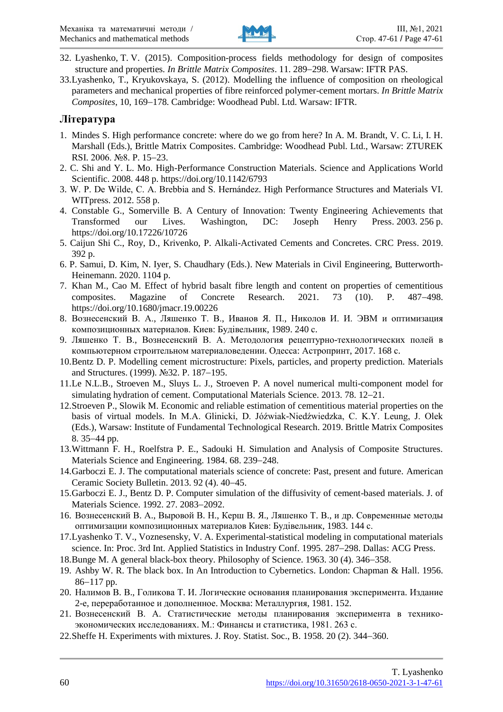

- 32. Lyashenko, T. V. (2015). Composition-process fields methodology for design of composites structure and properties. *In Brittle Matrix Composites*. 11. 289–298. Warsaw: IFTR PAS.
- 33.Lyashenko, T., Kryukovskaya, S. (2012). Modelling the influence of composition on rheological parameters and mechanical properties of fibre reinforced polymer-cement mortars. *In Brittle Matrix*  Composites, 10, 169-178. Cambridge: Woodhead Publ. Ltd. Warsaw: IFTR.

#### **Література**

- 1. Mindes S. High performance concrete: where do we go from here? In A. M. Brandt, V. C. Li, I. H. Marshall (Eds.), Brittle Matrix Composites. Cambridge: Woodhead Publ. Ltd., Warsaw: ZTUREK RSI. 2006. №8. P. 15-23.
- 2. C. Shi and Y. L. Mo. High-Performance Construction Materials. Science and Applications World Scientific. 2008. 448 p. https://doi.org/10.1142/6793
- 3. W. P. De Wilde, C. A. Brebbia and S. Hernández. High Performance Structures and Materials VI. WITpress. 2012. 558 p.
- 4. Constable G., Somerville B. A Century of Innovation: Twenty Engineering Achievements that Transformed our Lives. Washington, DC: Joseph Henry Press. 2003. 256 p. https://doi.org/10.17226/10726
- 5. Caijun Shi C., Roy, D., Krivenko, P. Alkali-Activated Cements and Concretes. CRC Press. 2019. 392 p.
- 6. P. Samui, D. Kim, N. Iyer, S. Chaudhary (Eds.). New Materials in Civil Engineering, Butterworth-Heinemann. 2020. 1104 p.
- 7. Khan M., Cao M. Effect of hybrid basalt fibre length and content on properties of cementitious composites. Magazine of Concrete Research. 2021. 73 (10). P. 487–498. https://doi.org/10.1680/jmacr.19.00226
- 8. Вознесенский В. А., Ляшенко Т. В., Иванов Я. П., Николов И. И. ЭВМ и оптимизация композиционных материалов. Киев: Будівельник, 1989. 240 с.
- 9. Ляшенко Т. В., Вознесенский В. А. Методология рецептурно-технологических полей в компьютерном строительном материаловедении. Одесса: Астропринт, 2017. 168 с.
- 10.Bentz D. P. Modelling cement microstructure: Pixels, particles, and property prediction. Materials and Structures. (1999). No 32. P. 187–195.
- 11.Le N.L.B., Stroeven M., Sluys L. J., Stroeven P. A novel numerical multi-component model for simulating hydration of cement. Computational Materials Science. 2013. 78. 12–21.
- 12.Stroeven P., Slowik M. Economic and reliable estimation of cementitious material properties on the basis of virtual models. In M.A. Glinicki, D. Jóźwiak-Niedźwiedzka, C. K.Y. Leung, J. Olek (Eds.), Warsaw: Institute of Fundamental Technological Research. 2019. Brittle Matrix Composites 8. 35–44 pp.
- 13.Wittmann F. H., Roelfstra P. E., Sadouki H. Simulation and Analysis of Composite Structures. Materials Science and Engineering. 1984. 68. 239–248.
- 14.Garboczi E. J. The computational materials science of concrete: Past, present and future. American Ceramic Society Bulletin. 2013. 92 (4). 40-45.
- 15.Garboczi E. J., Bentz D. P. Computer simulation of the diffusivity of cement-based materials. J. of Materials Science. 1992. 27. 2083-2092.
- 16. Вознесенский В. А., Выровой В. Н., Керш В. Я., Ляшенко Т. В., и др. Современные методы оптимизации композиционных материалов Киев: Будівельник, 1983. 144 с.
- 17.Lyashenko T. V., Voznesensky, V. A. Experimental-statistical modeling in computational materials science. In: Proc. 3rd Int. Applied Statistics in Industry Conf. 1995. 287-298. Dallas: ACG Press.
- 18. Bunge M. A general black-box theory. Philosophy of Science. 1963. 30 (4). 346–358.
- 19. Ashby W. R. The black box. In An Introduction to Cybernetics. London: Chapman & Hall. 1956.  $86-117$  pp.
- 20. Налимов В. В., Голикова Т. И. Логические основания планирования эксперимента. Издание 2-е, переработанное и дополненное. Москва: Металлургия, 1981. 152.
- 21. Вознесенский В. А. Статистические методы планирования эксперимента в техникоэкономических исследованиях. М.: Финансы и статистика, 1981. 263 с.
- 22. Sheffe H. Experiments with mixtures. J. Roy. Statist. Soc., B. 1958. 20 (2). 344–360.